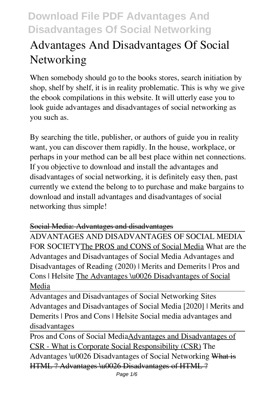# **Advantages And Disadvantages Of Social Networking**

When somebody should go to the books stores, search initiation by shop, shelf by shelf, it is in reality problematic. This is why we give the ebook compilations in this website. It will utterly ease you to look guide **advantages and disadvantages of social networking** as you such as.

By searching the title, publisher, or authors of guide you in reality want, you can discover them rapidly. In the house, workplace, or perhaps in your method can be all best place within net connections. If you objective to download and install the advantages and disadvantages of social networking, it is definitely easy then, past currently we extend the belong to to purchase and make bargains to download and install advantages and disadvantages of social networking thus simple!

#### Social Media: Advantages and disadvantages

ADVANTAGES AND DISADVANTAGES OF SOCIAL MEDIA FOR SOCIETYThe PROS and CONS of Social Media What are the Advantages and Disadvantages of Social Media Advantages and Disadvantages of Reading (2020) | Merits and Demerits | Pros and Cons | Helsite The Advantages \u0026 Disadvantages of Social Media

Advantages and Disadvantages of Social Networking Sites Advantages and Disadvantages of Social Media [2020] | Merits and Demerits | Pros and Cons | Helsite *Social media advantages and disadvantages*

Pros and Cons of Social MediaAdvantages and Disadvantages of CSR - What is Corporate Social Responsibility (CSR) *The Advantages \u0026 Disadvantages of Social Networking* What is HTML ? Advantages \u0026 Disadvantages of HTML ?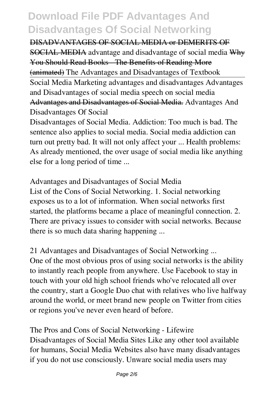DISADVANTAGES OF SOCIAL MEDIA or DEMERITS OF SOCIAL MEDIA *advantage and disadvantage of social media* Why You Should Read Books - The Benefits of Reading More (animated) *The Advantages and Disadvantages of Textbook* Social Media Marketing advantages and disadvantages Advantages and Disadvantages of social media speech on social media Advantages and Disadvantages of Social Media. **Advantages And Disadvantages Of Social**

Disadvantages of Social Media. Addiction: Too much is bad. The sentence also applies to social media. Social media addiction can turn out pretty bad. It will not only affect your ... Health problems: As already mentioned, the over usage of social media like anything else for a long period of time ...

**Advantages and Disadvantages of Social Media** List of the Cons of Social Networking. 1. Social networking exposes us to a lot of information. When social networks first started, the platforms became a place of meaningful connection. 2. There are privacy issues to consider with social networks. Because there is so much data sharing happening ...

**21 Advantages and Disadvantages of Social Networking ...** One of the most obvious pros of using social networks is the ability to instantly reach people from anywhere. Use Facebook to stay in touch with your old high school friends who've relocated all over the country, start a Google Duo chat with relatives who live halfway around the world, or meet brand new people on Twitter from cities or regions you've never even heard of before.

**The Pros and Cons of Social Networking - Lifewire** Disadvantages of Social Media Sites Like any other tool available for humans, Social Media Websites also have many disadvantages if you do not use consciously. Unware social media users may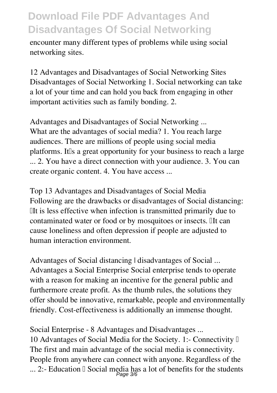encounter many different types of problems while using social networking sites.

**12 Advantages and Disadvantages of Social Networking Sites** Disadvantages of Social Networking 1. Social networking can take a lot of your time and can hold you back from engaging in other important activities such as family bonding. 2.

**Advantages and Disadvantages of Social Networking ...** What are the advantages of social media? 1. You reach large audiences. There are millions of people using social media platforms. It is a great opportunity for your business to reach a large ... 2. You have a direct connection with your audience. 3. You can create organic content. 4. You have access ...

**Top 13 Advantages and Disadvantages of Social Media** Following are the drawbacks or disadvantages of Social distancing: ➨It is less effective when infection is transmitted primarily due to contaminated water or food or by mosquitoes or insects. IIt can cause loneliness and often depression if people are adjusted to human interaction environment.

**Advantages of Social distancing | disadvantages of Social ...** Advantages a Social Enterprise Social enterprise tends to operate with a reason for making an incentive for the general public and furthermore create profit. As the thumb rules, the solutions they offer should be innovative, remarkable, people and environmentally friendly. Cost-effectiveness is additionally an immense thought.

**Social Enterprise - 8 Advantages and Disadvantages ...** 10 Advantages of Social Media for the Society. 1:- Connectivity  $\mathbb I$ The first and main advantage of the social media is connectivity. People from anywhere can connect with anyone. Regardless of the ... 2:- Education I Social media has a lot of benefits for the students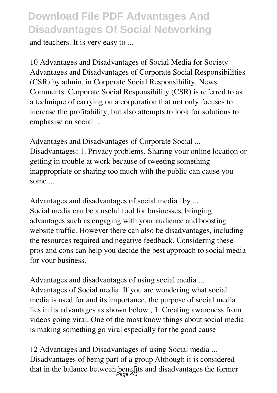and teachers. It is very easy to ...

**10 Advantages and Disadvantages of Social Media for Society** Advantages and Disadvantages of Corporate Social Responsibilities (CSR) by admin. in Corporate Social Responsibility, News. Comments. Corporate Social Responsibility (CSR) is referred to as a technique of carrying on a corporation that not only focuses to increase the profitability, but also attempts to look for solutions to emphasise on social ...

**Advantages and Disadvantages of Corporate Social ...** Disadvantages: 1. Privacy problems. Sharing your online location or getting in trouble at work because of tweeting something inappropriate or sharing too much with the public can cause you some ...

**Advantages and disadvantages of social media | by ...** Social media can be a useful tool for businesses, bringing advantages such as engaging with your audience and boosting website traffic. However there can also be disadvantages, including the resources required and negative feedback. Considering these pros and cons can help you decide the best approach to social media for your business.

**Advantages and disadvantages of using social media ...** Advantages of Social media. If you are wondering what social media is used for and its importance, the purpose of social media lies in its advantages as shown below ; 1. Creating awareness from videos going viral. One of the most know things about social media is making something go viral especially for the good cause

**12 Advantages and Disadvantages of using Social media ...** Disadvantages of being part of a group Although it is considered that in the balance between benefits and disadvantages the former Page 4/6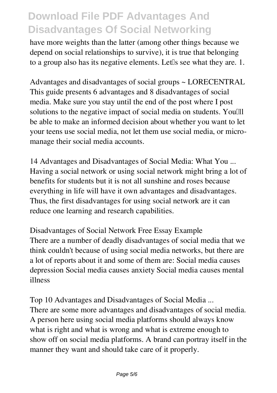have more weights than the latter (among other things because we depend on social relationships to survive), it is true that belonging to a group also has its negative elements. Let us see what they are. 1.

**Advantages and disadvantages of social groups ~ LORECENTRAL** This guide presents 6 advantages and 8 disadvantages of social media. Make sure you stay until the end of the post where I post solutions to the negative impact of social media on students. Youlll be able to make an informed decision about whether you want to let your teens use social media, not let them use social media, or micromanage their social media accounts.

**14 Advantages and Disadvantages of Social Media: What You ...** Having a social network or using social network might bring a lot of benefits for students but it is not all sunshine and roses because everything in life will have it own advantages and disadvantages. Thus, the first disadvantages for using social network are it can reduce one learning and research capabilities.

**Disadvantages of Social Network Free Essay Example** There are a number of deadly disadvantages of social media that we think couldn't because of using social media networks, but there are a lot of reports about it and some of them are: Social media causes depression Social media causes anxiety Social media causes mental illness

**Top 10 Advantages and Disadvantages of Social Media ...** There are some more advantages and disadvantages of social media. A person here using social media platforms should always know what is right and what is wrong and what is extreme enough to show off on social media platforms. A brand can portray itself in the manner they want and should take care of it properly.